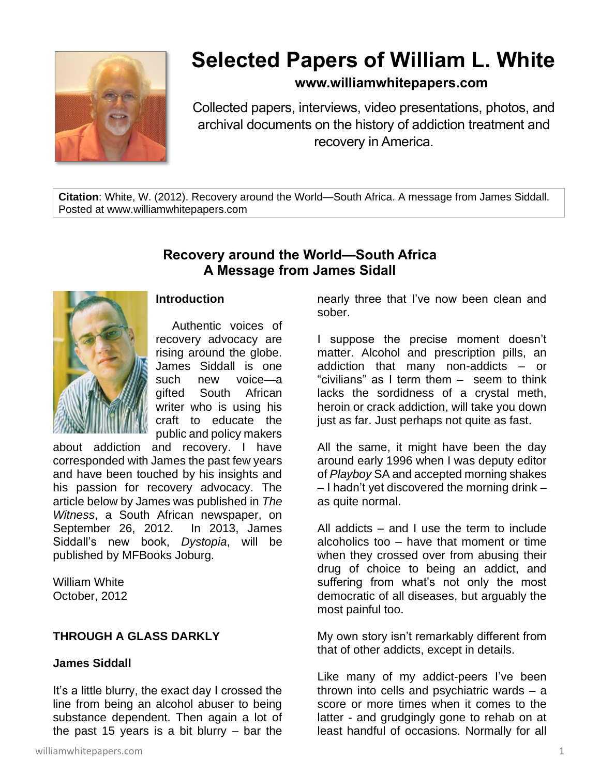

# **Selected Papers of William L. White**

## **www.williamwhitepapers.com**

Collected papers, interviews, video presentations, photos, and archival documents on the history of addiction treatment and recovery in America.

**Citation**: White, W. (2012). Recovery around the World—South Africa. A message from James Siddall. Posted at www.williamwhitepapers.com

# **Recovery around the World—South Africa A Message from James Sidall**



#### **Introduction**

Authentic voices of recovery advocacy are rising around the globe. James Siddall is one such new voice—a gifted South African writer who is using his craft to educate the public and policy makers

about addiction and recovery. I have corresponded with James the past few years and have been touched by his insights and his passion for recovery advocacy. The article below by James was published in *The Witness*, a South African newspaper, on September 26, 2012. In 2013, James Siddall's new book, *Dystopia*, will be published by MFBooks Joburg.

William White October, 2012

## **THROUGH A GLASS DARKLY**

## **James Siddall**

It's a little blurry, the exact day I crossed the line from being an alcohol abuser to being substance dependent. Then again a lot of the past 15 years is a bit blurry  $-$  bar the

nearly three that I've now been clean and sober.

I suppose the precise moment doesn't matter. Alcohol and prescription pills, an addiction that many non-addicts – or "civilians" as I term them – seem to think lacks the sordidness of a crystal meth, heroin or crack addiction, will take you down just as far. Just perhaps not quite as fast.

All the same, it might have been the day around early 1996 when I was deputy editor of *Playboy* SA and accepted morning shakes – I hadn't yet discovered the morning drink – as quite normal.

All addicts – and I use the term to include alcoholics too – have that moment or time when they crossed over from abusing their drug of choice to being an addict, and suffering from what's not only the most democratic of all diseases, but arguably the most painful too.

My own story isn't remarkably different from that of other addicts, except in details.

Like many of my addict-peers I've been thrown into cells and psychiatric wards – a score or more times when it comes to the latter - and grudgingly gone to rehab on at least handful of occasions. Normally for all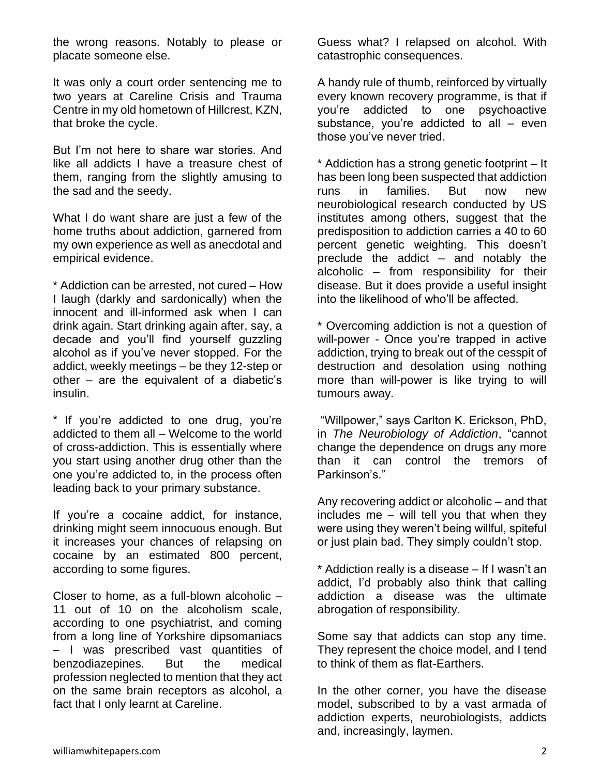the wrong reasons. Notably to please or placate someone else.

It was only a court order sentencing me to two years at Careline Crisis and Trauma Centre in my old hometown of Hillcrest, KZN, that broke the cycle.

But I'm not here to share war stories. And like all addicts I have a treasure chest of them, ranging from the slightly amusing to the sad and the seedy.

What I do want share are just a few of the home truths about addiction, garnered from my own experience as well as anecdotal and empirical evidence.

\* Addiction can be arrested, not cured – How I laugh (darkly and sardonically) when the innocent and ill-informed ask when I can drink again. Start drinking again after, say, a decade and you'll find yourself guzzling alcohol as if you've never stopped. For the addict, weekly meetings – be they 12-step or other – are the equivalent of a diabetic's insulin.

\* If you're addicted to one drug, you're addicted to them all – Welcome to the world of cross-addiction. This is essentially where you start using another drug other than the one you're addicted to, in the process often leading back to your primary substance.

If you're a cocaine addict, for instance, drinking might seem innocuous enough. But it increases your chances of relapsing on cocaine by an estimated 800 percent, according to some figures.

Closer to home, as a full-blown alcoholic – 11 out of 10 on the alcoholism scale, according to one psychiatrist, and coming from a long line of Yorkshire dipsomaniacs – I was prescribed vast quantities of benzodiazepines. But the medical profession neglected to mention that they act on the same brain receptors as alcohol, a fact that I only learnt at Careline.

Guess what? I relapsed on alcohol. With catastrophic consequences.

A handy rule of thumb, reinforced by virtually every known recovery programme, is that if you're addicted to one psychoactive substance, you're addicted to all – even those you've never tried.

\* Addiction has a strong genetic footprint – It has been long been suspected that addiction runs in families. But now new neurobiological research conducted by US institutes among others, suggest that the predisposition to addiction carries a 40 to 60 percent genetic weighting. This doesn't preclude the addict – and notably the alcoholic – from responsibility for their disease. But it does provide a useful insight into the likelihood of who'll be affected.

\* Overcoming addiction is not a question of will-power - Once you're trapped in active addiction, trying to break out of the cesspit of destruction and desolation using nothing more than will-power is like trying to will tumours away.

"Willpower," says Carlton K. Erickson, PhD, in *The Neurobiology of Addiction*, "cannot change the dependence on drugs any more than it can control the tremors of Parkinson's."

Any recovering addict or alcoholic – and that includes me – will tell you that when they were using they weren't being willful, spiteful or just plain bad. They simply couldn't stop.

\* Addiction really is a disease – If I wasn't an addict, I'd probably also think that calling addiction a disease was the ultimate abrogation of responsibility.

Some say that addicts can stop any time. They represent the choice model, and I tend to think of them as flat-Earthers.

In the other corner, you have the disease model, subscribed to by a vast armada of addiction experts, neurobiologists, addicts and, increasingly, laymen.